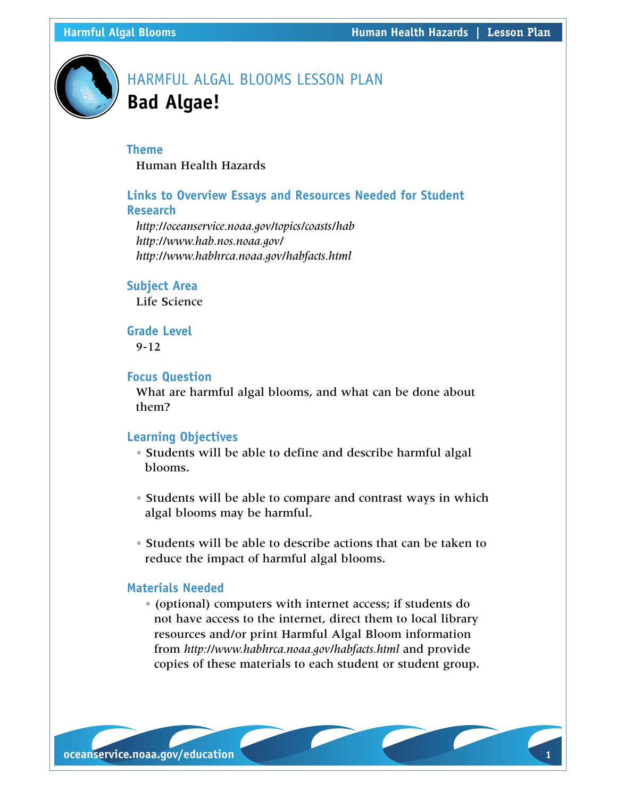

# HARMFUL ALGAL BLOOMS LESSON PLAN **Bad Algae!**

## **Theme**

Human Health Hazards

# **Links to Overview Essays and Resources Needed for Student Research**

*http://oceanservice.noaa.gov/topics/coasts/hab <http://www.hab.nos.noaa.gov/> <http://www.habhrca.noaa.gov/habfacts.html>*

#### **Subject Area**

Life Science

#### **Grade Level** 9-12

# **Focus Question**

What are harmful algal blooms, and what can be done about them?

#### **Learning Objectives**

- Students will be able to define and describe harmful algal blooms.
- Students will be able to compare and contrast ways in which algal blooms may be harmful.
- Students will be able to describe actions that can be taken to reduce the impact of harmful algal blooms.

### **Materials Needed**

• (optional) computers with internet access; if students do not have access to the internet, direct them to local library resources and/or print Harmful Algal Bloom information from *<http://www.habhrca.noaa.gov/habfacts.html>* and provide copies of these materials to each student or student group.

**oceanservice.noaa.gov/education 1**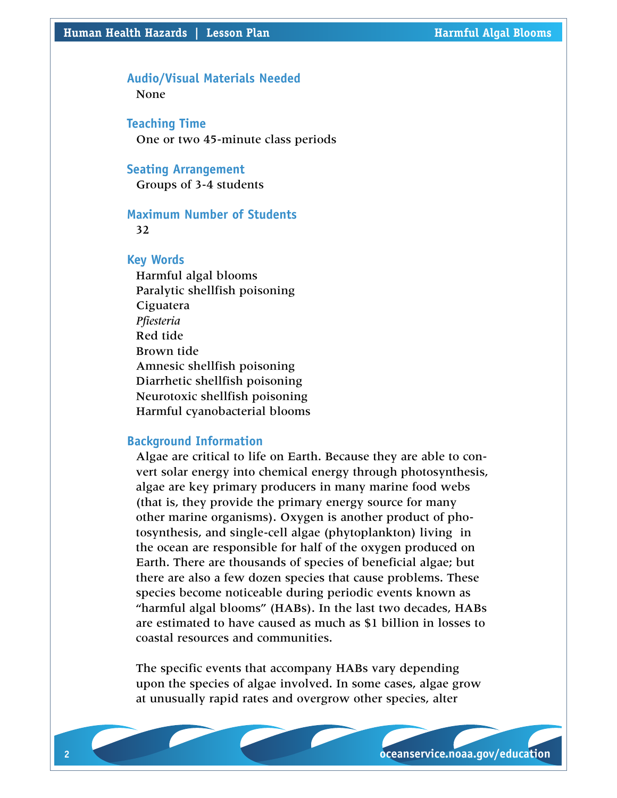# **Audio/Visual Materials Needed**

None

**Teaching Time**  One or two 45-minute class periods

#### **Seating Arrangement**

Groups of 3-4 students

#### **Maximum Number of Students**  32

#### **Key Words**

Harmful algal blooms Paralytic shellfish poisoning Ciguatera *Pfiesteria* Red tide Brown tide Amnesic shellfish poisoning Diarrhetic shellfish poisoning Neurotoxic shellfish poisoning Harmful cyanobacterial blooms

### **Background Information**

Algae are critical to life on Earth. Because they are able to convert solar energy into chemical energy through photosynthesis, algae are key primary producers in many marine food webs (that is, they provide the primary energy source for many other marine organisms). Oxygen is another product of photosynthesis, and single-cell algae (phytoplankton) living in the ocean are responsible for half of the oxygen produced on Earth. There are thousands of species of beneficial algae; but there are also a few dozen species that cause problems. These species become noticeable during periodic events known as "harmful algal blooms" (HABs). In the last two decades, HABs are estimated to have caused as much as \$1 billion in losses to coastal resources and communities.

The specific events that accompany HABs vary depending upon the species of algae involved. In some cases, algae grow at unusually rapid rates and overgrow other species, alter

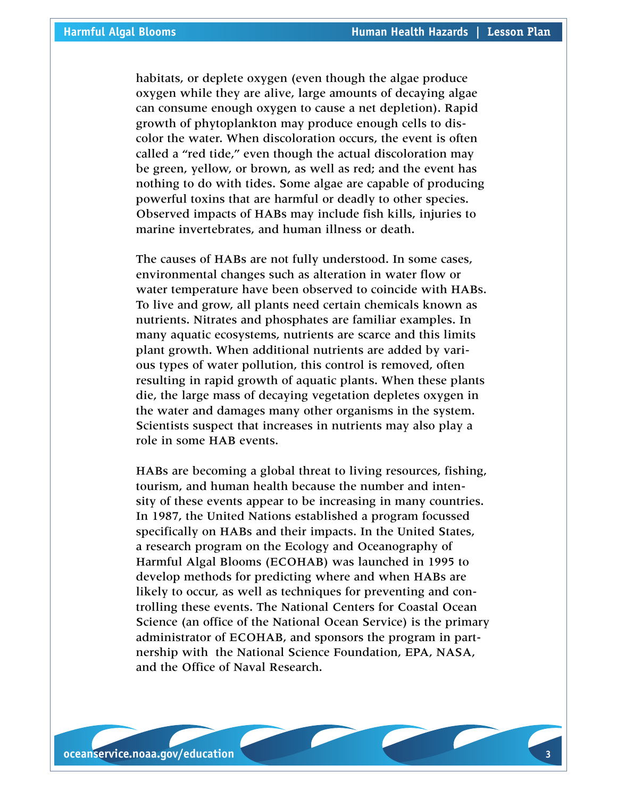habitats, or deplete oxygen (even though the algae produce oxygen while they are alive, large amounts of decaying algae can consume enough oxygen to cause a net depletion). Rapid growth of phytoplankton may produce enough cells to discolor the water. When discoloration occurs, the event is often called a "red tide," even though the actual discoloration may be green, yellow, or brown, as well as red; and the event has nothing to do with tides. Some algae are capable of producing powerful toxins that are harmful or deadly to other species. Observed impacts of HABs may include fish kills, injuries to marine invertebrates, and human illness or death.

The causes of HABs are not fully understood. In some cases, environmental changes such as alteration in water flow or water temperature have been observed to coincide with HABs. To live and grow, all plants need certain chemicals known as nutrients. Nitrates and phosphates are familiar examples. In many aquatic ecosystems, nutrients are scarce and this limits plant growth. When additional nutrients are added by various types of water pollution, this control is removed, often resulting in rapid growth of aquatic plants. When these plants die, the large mass of decaying vegetation depletes oxygen in the water and damages many other organisms in the system. Scientists suspect that increases in nutrients may also play a role in some HAB events.

HABs are becoming a global threat to living resources, fishing, tourism, and human health because the number and intensity of these events appear to be increasing in many countries. In 1987, the United Nations established a program focussed specifically on HABs and their impacts. In the United States, a research program on the Ecology and Oceanography of Harmful Algal Blooms (ECOHAB) was launched in 1995 to develop methods for predicting where and when HABs are likely to occur, as well as techniques for preventing and controlling these events. The National Centers for Coastal Ocean Science (an office of the National Ocean Service) is the primary administrator of ECOHAB, and sponsors the program in partnership with the National Science Foundation, EPA, NASA, and the Office of Naval Research.

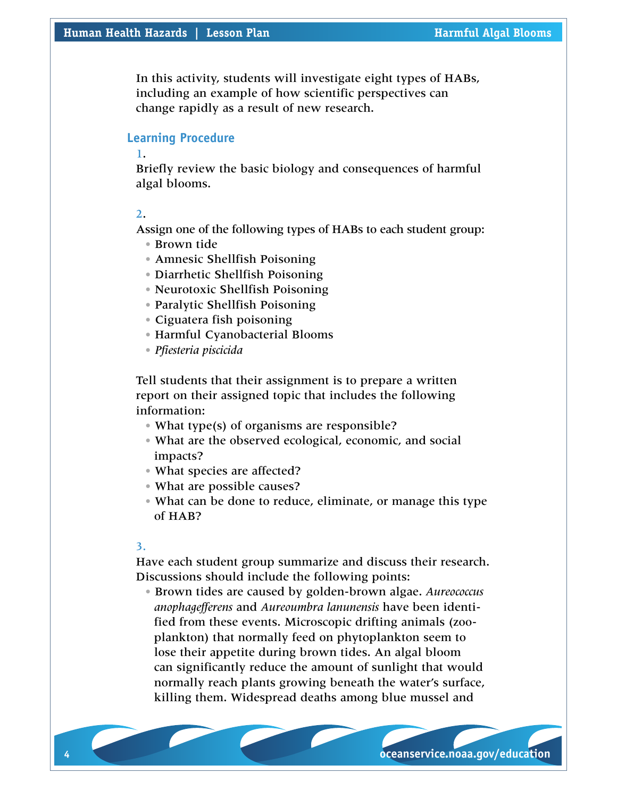In this activity, students will investigate eight types of HABs, including an example of how scientific perspectives can change rapidly as a result of new research.

#### **Learning Procedure**

1.

Briefly review the basic biology and consequences of harmful algal blooms.

2.

Assign one of the following types of HABs to each student group:

- Brown tide
- Amnesic Shellfish Poisoning
- Diarrhetic Shellfish Poisoning
- Neurotoxic Shellfish Poisoning
- Paralytic Shellfish Poisoning
- Ciguatera fish poisoning
- Harmful Cyanobacterial Blooms
- *Pfiesteria piscicida*

Tell students that their assignment is to prepare a written report on their assigned topic that includes the following information:

- What type(s) of organisms are responsible?
- What are the observed ecological, economic, and social impacts?
- What species are affected?
- What are possible causes?
- What can be done to reduce, eliminate, or manage this type of HAB?

#### 3.

Have each student group summarize and discuss their research. Discussions should include the following points:

• Brown tides are caused by golden-brown algae. *Aureococcus anophagefferens* and *Aureoumbra lanunensis* have been identified from these events. Microscopic drifting animals (zooplankton) that normally feed on phytoplankton seem to lose their appetite during brown tides. An algal bloom can significantly reduce the amount of sunlight that would normally reach plants growing beneath the water's surface, killing them. Widespread deaths among blue mussel and

**4 oceanservice.noaa.gov/education oceanservice.noaa.gov/education 5**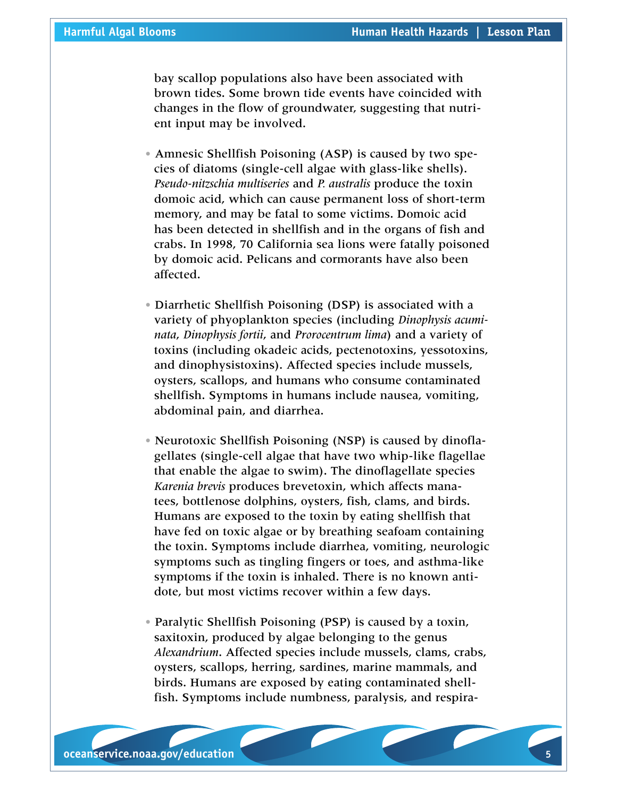bay scallop populations also have been associated with brown tides. Some brown tide events have coincided with changes in the flow of groundwater, suggesting that nutrient input may be involved.

- Amnesic Shellfish Poisoning (ASP) is caused by two species of diatoms (single-cell algae with glass-like shells). *Pseudo-nitzschia multiseries* and *P. australis* produce the toxin domoic acid, which can cause permanent loss of short-term memory, and may be fatal to some victims. Domoic acid has been detected in shellfish and in the organs of fish and crabs. In 1998, 70 California sea lions were fatally poisoned by domoic acid. Pelicans and cormorants have also been affected.
- Diarrhetic Shellfish Poisoning (DSP) is associated with a variety of phyoplankton species (including *Dinophysis acuminata*, *Dinophysis fortii*, and *Prorocentrum lima*) and a variety of toxins (including okadeic acids, pectenotoxins, yessotoxins, and dinophysistoxins). Affected species include mussels, oysters, scallops, and humans who consume contaminated shellfish. Symptoms in humans include nausea, vomiting, abdominal pain, and diarrhea.
- Neurotoxic Shellfish Poisoning (NSP) is caused by dinoflagellates (single-cell algae that have two whip-like flagellae that enable the algae to swim). The dinoflagellate species *Karenia brevis* produces brevetoxin, which affects manatees, bottlenose dolphins, oysters, fish, clams, and birds. Humans are exposed to the toxin by eating shellfish that have fed on toxic algae or by breathing seafoam containing the toxin. Symptoms include diarrhea, vomiting, neurologic symptoms such as tingling fingers or toes, and asthma-like symptoms if the toxin is inhaled. There is no known antidote, but most victims recover within a few days.
- Paralytic Shellfish Poisoning (PSP) is caused by a toxin, saxitoxin, produced by algae belonging to the genus *Alexandrium*. Affected species include mussels, clams, crabs, oysters, scallops, herring, sardines, marine mammals, and birds. Humans are exposed by eating contaminated shellfish. Symptoms include numbness, paralysis, and respira-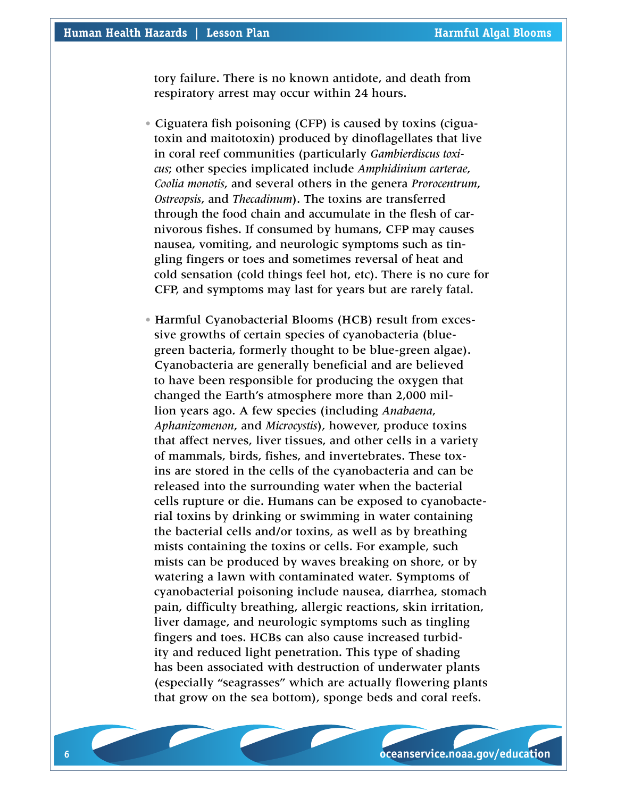tory failure. There is no known antidote, and death from respiratory arrest may occur within 24 hours.

- Ciguatera fish poisoning (CFP) is caused by toxins (ciguatoxin and maitotoxin) produced by dinoflagellates that live in coral reef communities (particularly *Gambierdiscus toxicus*; other species implicated include *Amphidinium carterae*, *Coolia monotis*, and several others in the genera *Prorocentrum*, *Ostreopsis*, and *Thecadinum*). The toxins are transferred through the food chain and accumulate in the flesh of carnivorous fishes. If consumed by humans, CFP may causes nausea, vomiting, and neurologic symptoms such as tingling fingers or toes and sometimes reversal of heat and cold sensation (cold things feel hot, etc). There is no cure for CFP, and symptoms may last for years but are rarely fatal.
- Harmful Cyanobacterial Blooms (HCB) result from excessive growths of certain species of cyanobacteria (bluegreen bacteria, formerly thought to be blue-green algae). Cyanobacteria are generally beneficial and are believed to have been responsible for producing the oxygen that changed the Earth's atmosphere more than 2,000 million years ago. A few species (including *Anabaena*, *Aphanizomenon*, and *Microcystis*), however, produce toxins that affect nerves, liver tissues, and other cells in a variety of mammals, birds, fishes, and invertebrates. These toxins are stored in the cells of the cyanobacteria and can be released into the surrounding water when the bacterial cells rupture or die. Humans can be exposed to cyanobacterial toxins by drinking or swimming in water containing the bacterial cells and/or toxins, as well as by breathing mists containing the toxins or cells. For example, such mists can be produced by waves breaking on shore, or by watering a lawn with contaminated water. Symptoms of cyanobacterial poisoning include nausea, diarrhea, stomach pain, difficulty breathing, allergic reactions, skin irritation, liver damage, and neurologic symptoms such as tingling fingers and toes. HCBs can also cause increased turbidity and reduced light penetration. This type of shading has been associated with destruction of underwater plants (especially "seagrasses" which are actually flowering plants that grow on the sea bottom), sponge beds and coral reefs.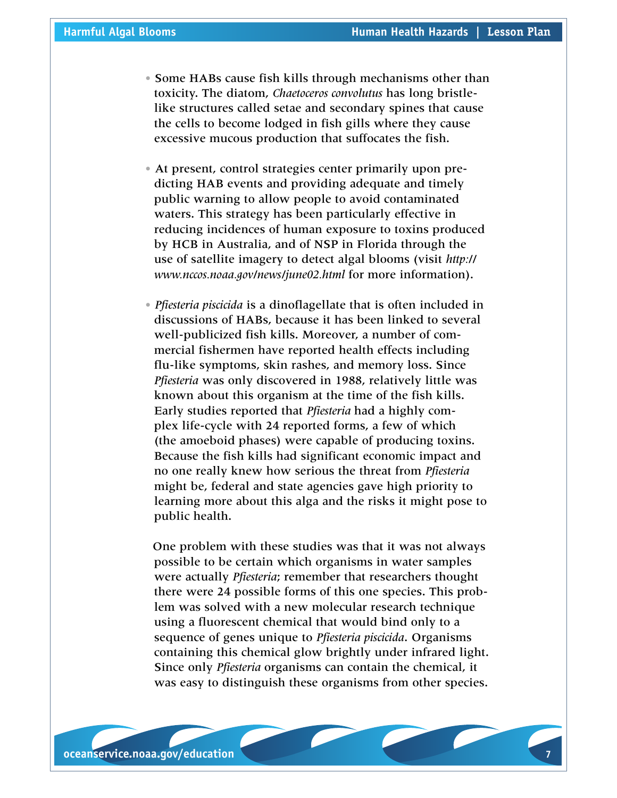- Some HABs cause fish kills through mechanisms other than toxicity. The diatom, *Chaetoceros convolutus* has long bristlelike structures called setae and secondary spines that cause the cells to become lodged in fish gills where they cause excessive mucous production that suffocates the fish.
- At present, control strategies center primarily upon predicting HAB events and providing adequate and timely public warning to allow people to avoid contaminated waters. This strategy has been particularly effective in reducing incidences of human exposure to toxins produced by HCB in Australia, and of NSP in Florida through the use of satellite imagery to detect algal blooms (visit *[http://](http://www.nccos.noaa.gov/news/june02.html) [www.nccos.noaa.gov/news/june02.html](http://www.nccos.noaa.gov/news/june02.html)* for more information).
- *Pfiesteria piscicida* is a dinoflagellate that is often included in discussions of HABs, because it has been linked to several well-publicized fish kills. Moreover, a number of commercial fishermen have reported health effects including flu-like symptoms, skin rashes, and memory loss. Since *Pfiesteria* was only discovered in 1988, relatively little was known about this organism at the time of the fish kills. Early studies reported that *Pfiesteria* had a highly complex life-cycle with 24 reported forms, a few of which (the amoeboid phases) were capable of producing toxins. Because the fish kills had significant economic impact and no one really knew how serious the threat from *Pfiesteria*  might be, federal and state agencies gave high priority to learning more about this alga and the risks it might pose to public health.

 One problem with these studies was that it was not always possible to be certain which organisms in water samples were actually *Pfiesteria*; remember that researchers thought there were 24 possible forms of this one species. This problem was solved with a new molecular research technique using a fluorescent chemical that would bind only to a sequence of genes unique to *Pfiesteria piscicida*. Organisms containing this chemical glow brightly under infrared light. Since only *Pfiesteria* organisms can contain the chemical, it was easy to distinguish these organisms from other species.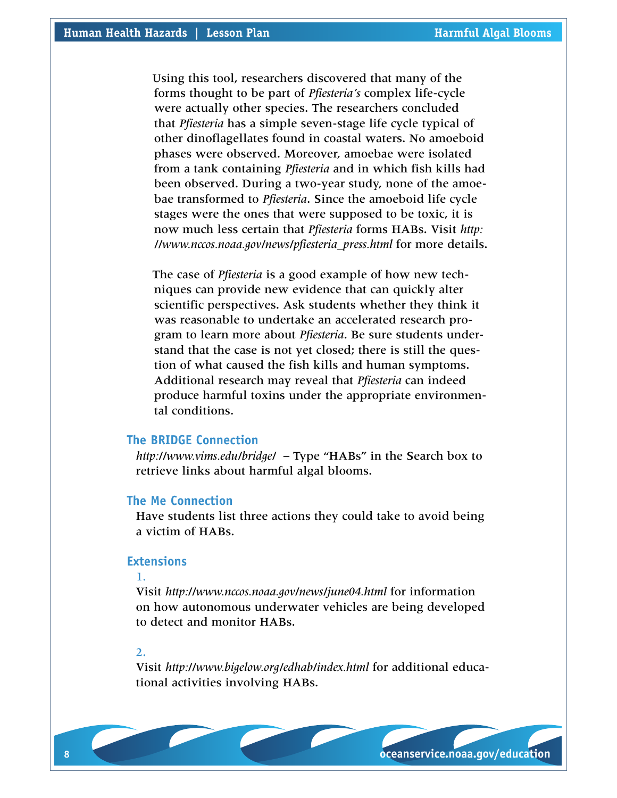Using this tool, researchers discovered that many of the forms thought to be part of *Pfiesteria's* complex life-cycle were actually other species. The researchers concluded that *Pfiesteria* has a simple seven-stage life cycle typical of other dinoflagellates found in coastal waters. No amoeboid phases were observed. Moreover, amoebae were isolated from a tank containing *Pfiesteria* and in which fish kills had been observed. During a two-year study, none of the amoebae transformed to *Pfiesteria*. Since the amoeboid life cycle stages were the ones that were supposed to be toxic, it is now much less certain that *Pfiesteria* forms HABs. Visit *[http:](http://www.nccos.noaa.gov/news/pfiesteria_press.html) [//www.nccos.noaa.gov/news/pfiesteria\\_press.html](http://www.nccos.noaa.gov/news/pfiesteria_press.html)* for more details.

 The case of *Pfiesteria* is a good example of how new techniques can provide new evidence that can quickly alter scientific perspectives. Ask students whether they think it was reasonable to undertake an accelerated research program to learn more about *Pfiesteria*. Be sure students understand that the case is not yet closed; there is still the question of what caused the fish kills and human symptoms. Additional research may reveal that *Pfiesteria* can indeed produce harmful toxins under the appropriate environmental conditions.

### **The BRIDGE Connection**

*<http://www.vims.edu/bridge/>* – Type "HABs" in the Search box to retrieve links about harmful algal blooms.

#### **The Me Connection**

Have students list three actions they could take to avoid being a victim of HABs.

#### **Extensions**

#### 1.

Visit *[http://www.nccos.noaa.gov/news/june04.html](http://www.nccos.noaa.gov/news/feature.html)* for information on how autonomous underwater vehicles are being developed to detect and monitor HABs.

#### 2.

Visit *<http://www.bigelow.org/edhab/index.html>* for additional educational activities involving HABs.

**8 oceanservice.noaa.gov/education oceanservice.noaa.gov/education 9**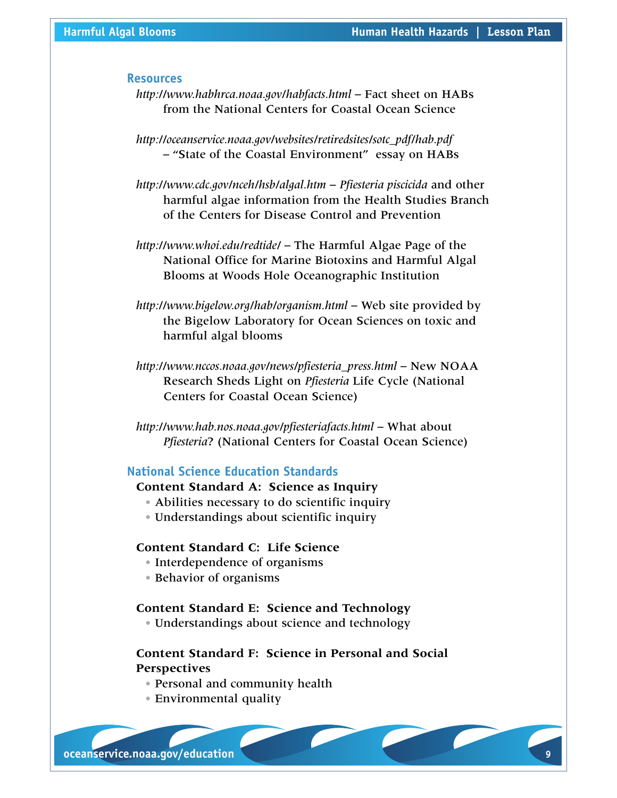#### **Resources**

- *<http://www.habhrca.noaa.gov/habfacts.html>* Fact sheet on HABs from the National Centers for Coastal Ocean Science
- *[http://oceanservice.noaa.gov/websites/retiredsites/sotc\\_pdf/hab.pdf](http://oceanservice.noaa.gov/websites/retiredsites/sotc_pdf/hab.pdf)* – "State of the Coastal Environment" essay on HABs
- *<http://www.cdc.gov/nceh/hsb/algal.htm> Pfiesteria piscicida* and other harmful algae information from the Health Studies Branch of the Centers for Disease Control and Prevention
- *<http://www.whoi.edu/redtide/>* The Harmful Algae Page of the National Office for Marine Biotoxins and Harmful Algal Blooms at Woods Hole Oceanographic Institution
- *<http://www.bigelow.org/hab/organism.html>* Web site provided by the Bigelow Laboratory for Ocean Sciences on toxic and harmful algal blooms
- *[http://www.nccos.noaa.gov/news/pfiesteria\\_press.html](http://www.nccos.noaa.gov/news/pfiesteria_press.html)* New NOAA Research Sheds Light on *Pfiesteria* Life Cycle (National Centers for Coastal Ocean Science)
- *<http://www.hab.nos.noaa.gov/pfiesteriafacts.html>* What about *Pfiesteria*? (National Centers for Coastal Ocean Science)

#### **National Science Education Standards**

#### **Content Standard A: Science as Inquiry**

- Abilities necessary to do scientific inquiry
- Understandings about scientific inquiry

## **Content Standard C: Life Science**

- Interdependence of organisms
- Behavior of organisms

#### **Content Standard E: Science and Technology**

• Understandings about science and technology

# **Content Standard F: Science in Personal and Social Perspectives**

- Personal and community health
- Environmental quality

**8 oceanservice.noaa.gov/education oceanservice.noaa.gov/education 9**